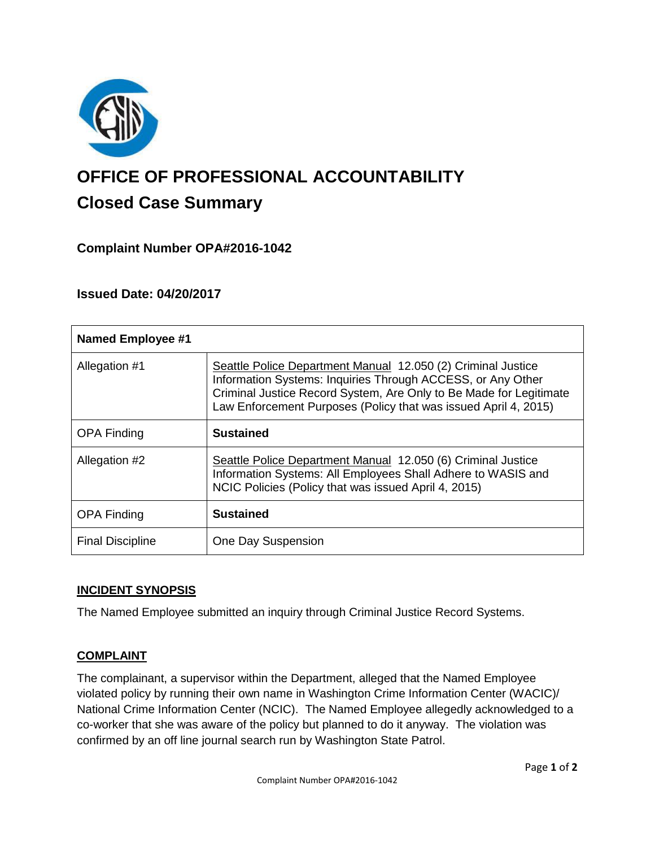

# **OFFICE OF PROFESSIONAL ACCOUNTABILITY Closed Case Summary**

# **Complaint Number OPA#2016-1042**

# **Issued Date: 04/20/2017**

| <b>Named Employee #1</b> |                                                                                                                                                                                                                                                                      |
|--------------------------|----------------------------------------------------------------------------------------------------------------------------------------------------------------------------------------------------------------------------------------------------------------------|
| Allegation #1            | Seattle Police Department Manual 12.050 (2) Criminal Justice<br>Information Systems: Inquiries Through ACCESS, or Any Other<br>Criminal Justice Record System, Are Only to Be Made for Legitimate<br>Law Enforcement Purposes (Policy that was issued April 4, 2015) |
| <b>OPA Finding</b>       | <b>Sustained</b>                                                                                                                                                                                                                                                     |
| Allegation #2            | Seattle Police Department Manual 12.050 (6) Criminal Justice<br>Information Systems: All Employees Shall Adhere to WASIS and<br>NCIC Policies (Policy that was issued April 4, 2015)                                                                                 |
| <b>OPA Finding</b>       | <b>Sustained</b>                                                                                                                                                                                                                                                     |
| <b>Final Discipline</b>  | One Day Suspension                                                                                                                                                                                                                                                   |

## **INCIDENT SYNOPSIS**

The Named Employee submitted an inquiry through Criminal Justice Record Systems.

## **COMPLAINT**

The complainant, a supervisor within the Department, alleged that the Named Employee violated policy by running their own name in Washington Crime Information Center (WACIC)/ National Crime Information Center (NCIC). The Named Employee allegedly acknowledged to a co-worker that she was aware of the policy but planned to do it anyway. The violation was confirmed by an off line journal search run by Washington State Patrol.